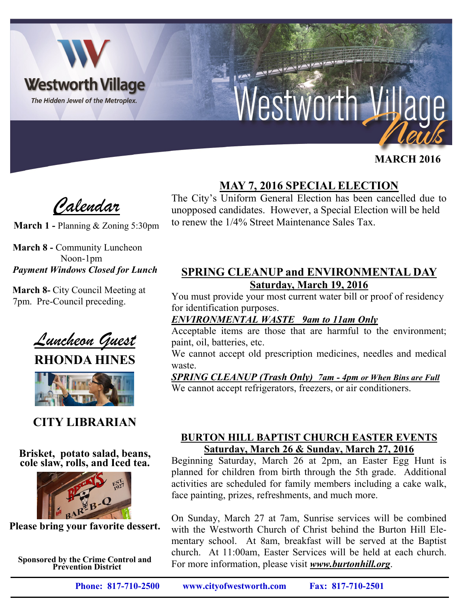

# Nestworth

# **FEBRUARY 2014 MARCH 2016**

*Calendar*

**March 1 -** Planning & Zoning 5:30pm

**March 8 -** Community Luncheon Noon-1pm *Payment Windows Closed for Lunch*

**March 8-** City Council Meeting at 7pm. Pre-Council preceding.

*Luncheon Guest*

**RHONDA HINES**



# **CITY LIBRARIAN**

#### **Brisket, potato salad, beans, cole slaw, rolls, and Iced tea.**



**Please bring your favorite dessert.**

**Sponsored by the Crime Control and Prevention District**

**MAY 7, 2016 SPECIAL ELECTION**

The City's Uniform General Election has been cancelled due to unopposed candidates. However, a Special Election will be held to renew the 1/4% Street Maintenance Sales Tax.

## **SPRING CLEANUP and ENVIRONMENTAL DAY Saturday, March 19, 2016**

You must provide your most current water bill or proof of residency for identification purposes.

## *ENVIRONMENTAL WASTE 9am to 11am Only*

**NEW YORK** 

Acceptable items are those that are harmful to the environment; paint, oil, batteries, etc.

We cannot accept old prescription medicines, needles and medical waste.

#### *SPRING CLEANUP (Trash Only) 7am - 4pm or When Bins are Full*

We cannot accept refrigerators, freezers, or air conditioners.

#### **BURTON HILL BAPTIST CHURCH EASTER EVENTS Saturday, March 26 & Sunday, March 27, 2016**

Beginning Saturday, March 26 at 2pm, an Easter Egg Hunt is planned for children from birth through the 5th grade. Additional activities are scheduled for family members including a cake walk, face painting, prizes, refreshments, and much more.

On Sunday, March 27 at 7am, Sunrise services will be combined with the Westworth Church of Christ behind the Burton Hill Elementary school. At 8am, breakfast will be served at the Baptist church. At 11:00am, Easter Services will be held at each church. For more information, please visit *www.burtonhill.org*.